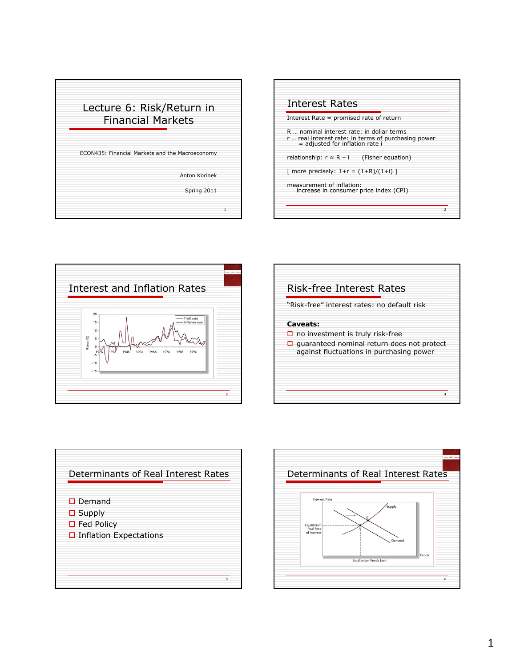





| <b>Risk-free Interest Rates</b>                                                                                                                      |   |
|------------------------------------------------------------------------------------------------------------------------------------------------------|---|
| "Risk-free" interest rates: no default risk                                                                                                          |   |
| Caveats:<br>$\Box$ no investment is truly risk-free<br>$\Box$ quaranteed nominal return does not protect<br>against fluctuations in purchasing power |   |
|                                                                                                                                                      | Δ |